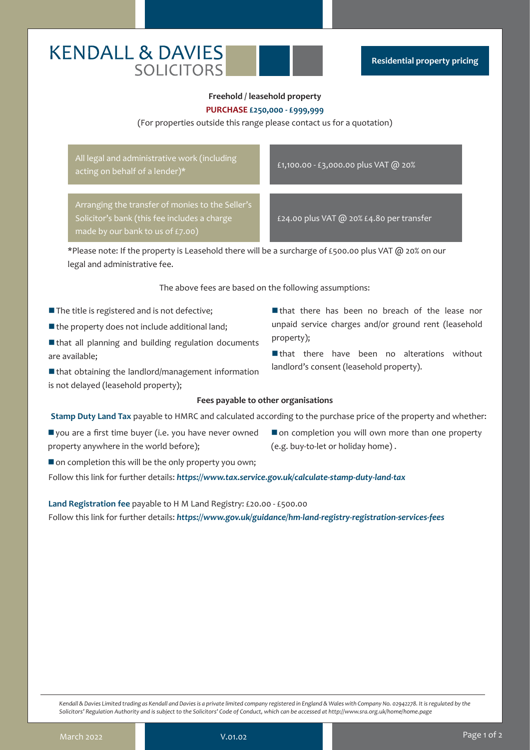# **KENDALL & DAVIES SOLICITORS**

## **Freehold / leasehold property PURCHASE £250,000 - £999,999**

#### (For properties outside this range please contact us for a quotation)

All legal and administrative work (including acting on behalf of a lender)\* <br>acting on behalf of a lender)\* <br>example in the state of a lender)\*

Arranging the transfer of monies to the Seller's Solicitor's bank (this fee includes a charge made by our bank to us of £7.00)

£24.00 plus VAT @ 20% £4.80 per transfer

\*Please note: If the property is Leasehold there will be a surcharge of £500.00 plus VAT @ 20% on our legal and administrative fee.

The above fees are based on the following assumptions:

- $\blacksquare$  The title is registered and is not defective;
- $\blacksquare$  the property does not include additional land;
- $\blacksquare$  that all planning and building regulation documents are available;
- $\blacksquare$  that obtaining the landlord/management information is not delayed (leasehold property);
- $\blacksquare$  that there has been no breach of the lease nor unpaid service charges and/or ground rent (leasehold property);
- $\blacksquare$  that there have been no alterations without landlord's consent (leasehold property).

#### **Fees payable to other organisations**

**Stamp Duty Land Tax** payable to HMRC and calculated according to the purchase price of the property and whether:

- $\blacksquare$  you are a first time buyer (i.e. you have never owned property anywhere in the world before);
- $\blacksquare$  on completion you will own more than one property (e.g. buy-to-let or holiday home) .
- $\blacksquare$  on completion this will be the only property you own;

Follow this link for further details: *https://www.tax.service.gov.uk/calculate-stamp-duty-land-tax*

**Land Registration fee** payable to H M Land Registry: £20.00 - £500.00

Follow this link for further details: *https://www.gov.uk/guidance/hm-land-registry-registration-services-fees*

*Kendall & Davies Limited trading as Kendall and Davies is a private limited company registered in England & Wales with Company No. 02942278. It is regulated by the Solicitors' Regulation Authority and is subject to the Solicitors' Code of Conduct, which can be accessed at http://www.sra.org.uk/home/home.page*